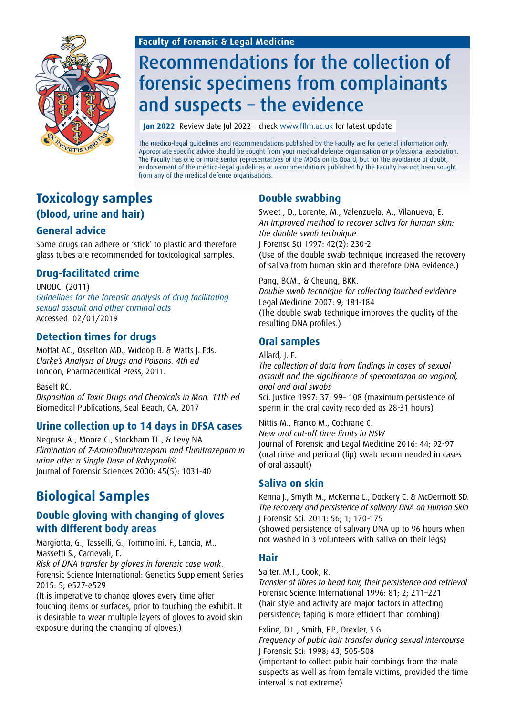### **Faculty of Forensic & Legal Medicine**



# Recommendations for the collection of forensic specimens from complainants and suspects – the evidence

**Jan 2022** Review date Jul 2022 – check www.fflm.ac.uk for latest update

The medico-legal guidelines and recommendations published by the Faculty are for general information only. Appropriate specific advice should be sought from your medical defence organisation or professional association. The Faculty has one or more senior representatives of the MDOs on its Board, but for the avoidance of doubt, endorsement of the medico-legal guidelines or recommendations published by the Faculty has not been sought from any of the medical defence organisations.

### **Toxicology samples (blood, urine and hair)**

### **General advice**

Some drugs can adhere or 'stick' to plastic and therefore glass tubes are recommended for toxicological samples.

### **Drug-facilitated crime**

UNODC. (2011) *[Guidelines for the forensic analysis of drug facilitating](http://www.unodc.org/documents/scientific/forensic_analys_of_drugs_facilitating_sexual_assault_and_other_criminal_acts.pdf)  [sexual assault and other criminal acts](http://www.unodc.org/documents/scientific/forensic_analys_of_drugs_facilitating_sexual_assault_and_other_criminal_acts.pdf)* Accessed 02/01/2019

### **Detection times for drugs**

Moffat AC., Osselton MD., Widdop B. & Watts J. Eds. *Clarke's Analysis of Drugs and Poisons. 4th ed* London, Pharmaceutical Press, 2011.

Baselt RC.

*Disposition of Toxic Drugs and Chemicals in Man, 11th ed* Biomedical Publications, Seal Beach, CA, 2017

### **Urine collection up to 14 days in DFSA cases**

Negrusz A., Moore C., Stockham TL., & Levy NA. *Elimination of 7-Aminoflunitrazepam and Flunitrazepam in urine after a Single Dose of Rohypnol®* Journal of Forensic Sciences 2000: 45(5): 1031-40

## **Biological Samples**

### **Double gloving with changing of gloves with different body areas**

Margiotta, G., Tasselli, G., Tommolini, F., Lancia, M., Massetti S., Carnevali, E.

*Risk of DNA transfer by gloves in forensic case work.* Forensic Science International: Genetics Supplement Series 2015: 5; e527-e529

(It is imperative to change gloves every time after touching items or surfaces, prior to touching the exhibit. It is desirable to wear multiple layers of gloves to avoid skin exposure during the changing of gloves.)

### **Double swabbing**

Sweet , D., Lorente, M., Valenzuela, A., Vilanueva, E. *An improved method to recover saliva for human skin: the double swab technique* J Forensc Sci 1997: 42(2): 230-2 (Use of the double swab technique increased the recovery of saliva from human skin and therefore DNA evidence.)

Pang, BCM., & Cheung, BKK. *Double swab technique for collecting touched evidence* Legal Medicine 2007: 9; 181-184 (The double swab technique improves the quality of the resulting DNA profiles.)

### **Oral samples**

Allard, J. E.

*The collection of data from findings in cases of sexual assault and the significance of spermatozoa on vaginal, anal and oral swabs*

Sci. Justice 1997: 37; 99– 108 (maximum persistence of sperm in the oral cavity recorded as 28-31 hours)

Nittis M., Franco M., Cochrane C. *New oral cut-off time limits in NSW* Journal of Forensic and Legal Medicine 2016: 44; 92-97 (oral rinse and perioral (lip) swab recommended in cases of oral assault)

### **Saliva on skin**

Kenna J., Smyth M., McKenna L., Dockery C. & McDermott SD. *The recovery and persistence of salivary DNA on Human Skin* J Forensic Sci. 2011: 56; 1; 170-175 (showed persistence of salivary DNA up to 96 hours when not washed in 3 volunteers with saliva on their legs)

### **Hair**

Salter, M.T., Cook, R.

*Transfer of fibres to head hair, their persistence and retrieval* Forensic Science International 1996: 81; 2; 211–221 (hair style and activity are major factors in affecting persistence; taping is more efficient than combing)

Exline, D.L., Smith, F.P., Drexler, S.G.

*Frequency of pubic hair transfer during sexual intercourse* J Forensic Sci: 1998; 43; 505-508 (important to collect pubic hair combings from the male suspects as well as from female victims, provided the time interval is not extreme)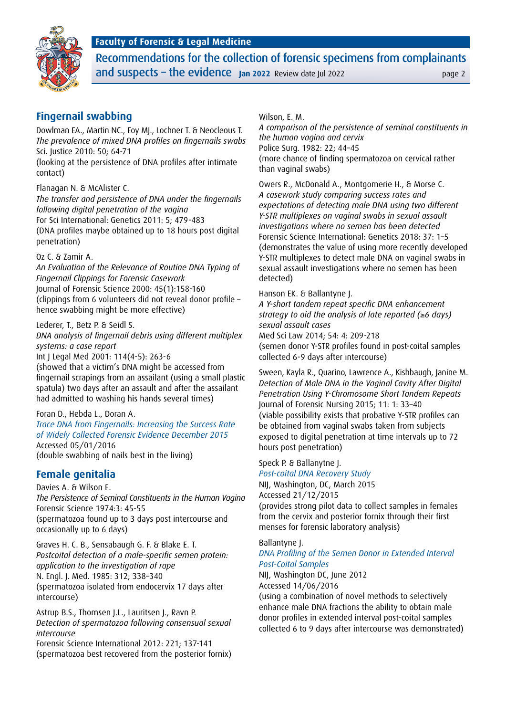### **Faculty of Forensic & Legal Medicine**



Recommendations for the collection of forensic specimens from complainants and suspects – the evidence **Jan 2022** Review date Jul 2022

### **Fingernail swabbing**

Dowlman EA., Martin NC., Foy MJ., Lochner T. & Neocleous T. *The prevalence of mixed DNA profiles on fingernails swabs* Sci. Justice 2010: 50; 64-71

(looking at the persistence of DNA profiles after intimate contact)

Flanagan N. & McAlister C.

*The transfer and persistence of DNA under the fingernails following digital penetration of the vagina* For Sci International: Genetics 2011: 5; 479-483 (DNA profiles maybe obtained up to 18 hours post digital penetration)

#### Oz C. & Zamir A.

*An Evaluation of the Relevance of Routine DNA Typing of Fingernail Clippings for Forensic Casework* Journal of Forensic Science 2000: 45(1):158-160 (clippings from 6 volunteers did not reveal donor profile – hence swabbing might be more effective)

Lederer, T., Betz P. & Seidl S. *DNA analysis of fingernail debris using different multiplex systems: a case report* Int J Legal Med 2001: 114(4-5): 263-6

(showed that a victim's DNA might be accessed from fingernail scrapings from an assailant (using a small plastic spatula) two days after an assault and after the assailant had admitted to washing his hands several times)

#### Foran D., Hebda L., Doran A.

*[Trace DNA from Fingernails: Increasing the Success Rate](https://www.ncjrs.gov/pdffiles1/nij/grants/249534.pdf)  [of Widely Collected Forensic Evidence December 2015](https://www.ncjrs.gov/pdffiles1/nij/grants/249534.pdf)* Accessed 05/01/2016 (double swabbing of nails best in the living)

### **Female genitalia**

Davies A. & Wilson E. *The Persistence of Seminal Constituents in the Human Vagina* Forensic Science 1974:3: 45-55 (spermatozoa found up to 3 days post intercourse and occasionally up to 6 days)

Graves H. C. B., Sensabaugh G. F. & Blake E. T. *Postcoital detection of a male-specific semen protein: application to the investigation of rape* N. Engl. J. Med. 1985: 312; 338–340 (spermatozoa isolated from endocervix 17 days after intercourse)

Astrup B.S., Thomsen J.L., Lauritsen J., Ravn P. *Detection of spermatozoa following consensual sexual intercourse* Forensic Science International 2012: 221; 137-141 (spermatozoa best recovered from the posterior fornix)

#### Wilson, E. M.

*A comparison of the persistence of seminal constituents in the human vagina and cervix* Police Surg. 1982: 22; 44–45 (more chance of finding spermatozoa on cervical rather than vaginal swabs)

Owers R., McDonald A., Montgomerie H., & Morse C. *A casework study comparing success rates and expectations of detecting male DNA using two different Y-STR multiplexes on vaginal swabs in sexual assault investigations where no semen has been detected* Forensic Science International: Genetics 2018: 37: 1–5 (demonstrates the value of using more recently developed Y-STR multiplexes to detect male DNA on vaginal swabs in sexual assault investigations where no semen has been detected)

#### Hanson EK. & Ballantyne J.

*A Y-short tandem repeat specific DNA enhancement strategy to aid the analysis of late reported (*≥*6 days) sexual assault cases*

Med Sci Law 2014; 54: 4: 209-218

(semen donor Y-STR profiles found in post-coital samples collected 6-9 days after intercourse)

Sween, Kayla R., Quarino, Lawrence A., Kishbaugh, Janine M. *Detection of Male DNA in the Vaginal Cavity After Digital Penetration Using Y-Chromosome Short Tandem Repeats* Journal of Forensic Nursing 2015; 11: 1: 33–40 (viable possibility exists that probative Y-STR profiles can be obtained from vaginal swabs taken from subjects exposed to digital penetration at time intervals up to 72 hours post penetration)

#### Speck P. & Ballanytne J.

*[Post-coital DNA Recovery Study](https://www.ncjrs.gov/pdffiles1/nij/grants/248682.pdf)* NIJ, Washington, DC, March 2015 Accessed 21/12/2015 (provides strong pilot data to collect samples in females from the cervix and posterior fornix through their first menses for forensic laboratory analysis)

#### Ballantyne J.

*[DNA Profiling of the Semen Donor in Extended Interval](https://www.ncjrs.gov/pdffiles1/nij/grants/241299.pdf) [Post-Coital Samples](https://www.ncjrs.gov/pdffiles1/nij/grants/241299.pdf)*

NIJ, Washington DC, June 2012 Accessed 14/06/2016

(using a combination of novel methods to selectively enhance male DNA fractions the ability to obtain male donor profiles in extended interval post-coital samples collected 6 to 9 days after intercourse was demonstrated)